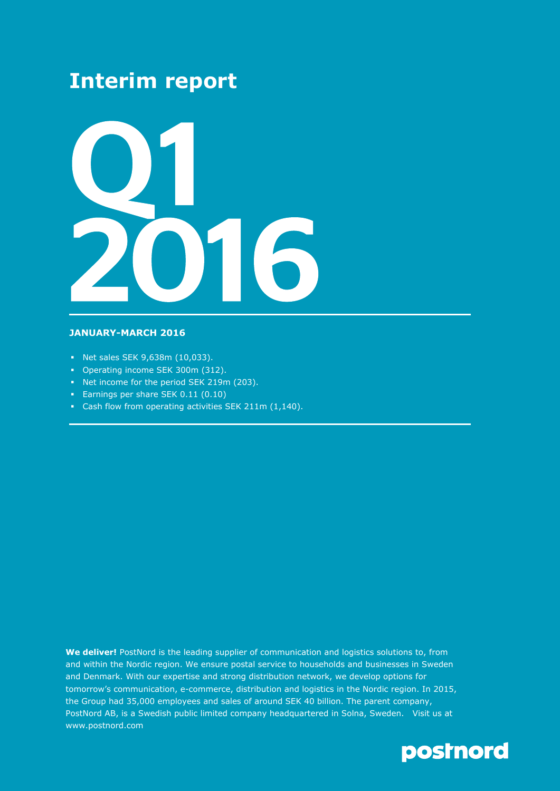# **Interim report**



#### **JANUARY-MARCH 2016**

- Net sales SEK 9,638m (10,033).
- Operating income SEK 300m (312).
- Net income for the period SEK 219m (203).
- **Earnings per share SEK 0.11 (0.10)**
- Cash flow from operating activities SEK 211m (1,140).

**We deliver!** PostNord is the leading supplier of communication and logistics solutions to, from and within the Nordic region. We ensure postal service to households and businesses in Sweden and Denmark. With our expertise and strong distribution network, we develop options for tomorrow's communication, e-commerce, distribution and logistics in the Nordic region. In 2015, the Group had 35,000 employees and sales of around SEK 40 billion. The parent company, PostNord AB, is a Swedish public limited company headquartered in Solna, Sweden. Visit us at www.postnord.com

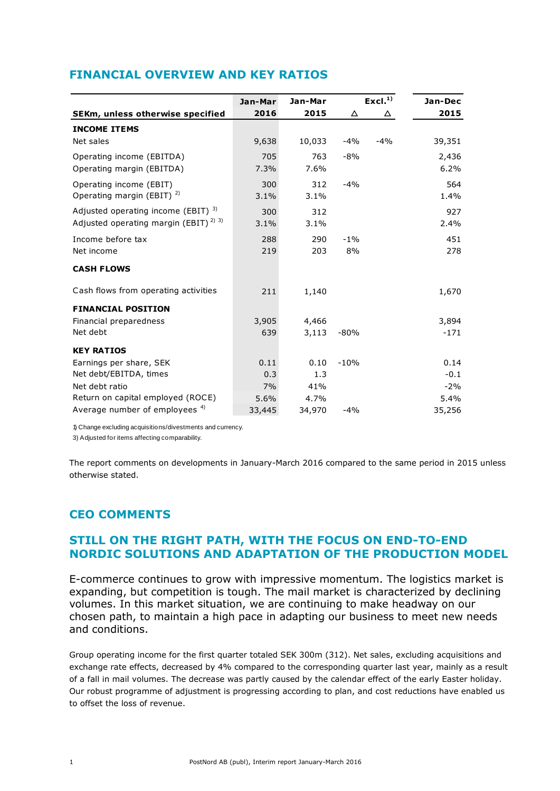|                                                   | Jan-Mar | Jan-Mar |        | Excl. <sup>1</sup> | Jan-Dec |
|---------------------------------------------------|---------|---------|--------|--------------------|---------|
|                                                   | 2016    | 2015    |        |                    |         |
| SEKm, unless otherwise specified                  |         |         | Δ      | Δ                  | 2015    |
| <b>INCOME ITEMS</b>                               |         |         |        |                    |         |
| Net sales                                         | 9,638   | 10,033  | $-4%$  | $-4%$              | 39,351  |
| Operating income (EBITDA)                         | 705     | 763     | $-8%$  |                    | 2,436   |
| Operating margin (EBITDA)                         | 7.3%    | 7.6%    |        |                    | 6.2%    |
| Operating income (EBIT)                           | 300     | 312     | $-4%$  |                    | 564     |
| Operating margin (EBIT) <sup>2)</sup>             | 3.1%    | 3.1%    |        |                    | 1.4%    |
| Adjusted operating income (EBIT) 3)               | 300     | 312     |        |                    | 927     |
| Adjusted operating margin (EBIT) <sup>2)</sup> 3) | 3.1%    | 3.1%    |        |                    | 2.4%    |
| Income before tax                                 | 288     | 290     | $-1\%$ |                    | 451     |
| Net income                                        | 219     | 203     | 8%     |                    | 278     |
| <b>CASH FLOWS</b>                                 |         |         |        |                    |         |
| Cash flows from operating activities              | 211     | 1,140   |        |                    | 1,670   |
| <b>FINANCIAL POSITION</b>                         |         |         |        |                    |         |
| Financial preparedness                            | 3,905   | 4,466   |        |                    | 3,894   |
| Net debt                                          | 639     | 3,113   | $-80%$ |                    | $-171$  |
| <b>KEY RATIOS</b>                                 |         |         |        |                    |         |
| Earnings per share, SEK                           | 0.11    | 0.10    | $-10%$ |                    | 0.14    |
| Net debt/EBITDA, times                            | 0.3     | 1.3     |        |                    | $-0.1$  |
| Net debt ratio                                    | 7%      | 41%     |        |                    | $-2%$   |
| Return on capital employed (ROCE)                 | 5.6%    | 4.7%    |        |                    | 5.4%    |
| Average number of employees 4)                    | 33,445  | 34,970  | $-4%$  |                    | 35,256  |

### **FINANCIAL OVERVIEW AND KEY RATIOS**

1) Change excluding acquisitions/divestments and currency.

3) Adjusted for items affecting comparability.

The report comments on developments in January-March 2016 compared to the same period in 2015 unless otherwise stated.

# **CEO COMMENTS**

### **STILL ON THE RIGHT PATH, WITH THE FOCUS ON END-TO-END NORDIC SOLUTIONS AND ADAPTATION OF THE PRODUCTION MODEL**

E-commerce continues to grow with impressive momentum. The logistics market is expanding, but competition is tough. The mail market is characterized by declining volumes. In this market situation, we are continuing to make headway on our chosen path, to maintain a high pace in adapting our business to meet new needs and conditions.

Group operating income for the first quarter totaled SEK 300m (312). Net sales, excluding acquisitions and exchange rate effects, decreased by 4% compared to the corresponding quarter last year, mainly as a result of a fall in mail volumes. The decrease was partly caused by the calendar effect of the early Easter holiday. Our robust programme of adjustment is progressing according to plan, and cost reductions have enabled us to offset the loss of revenue.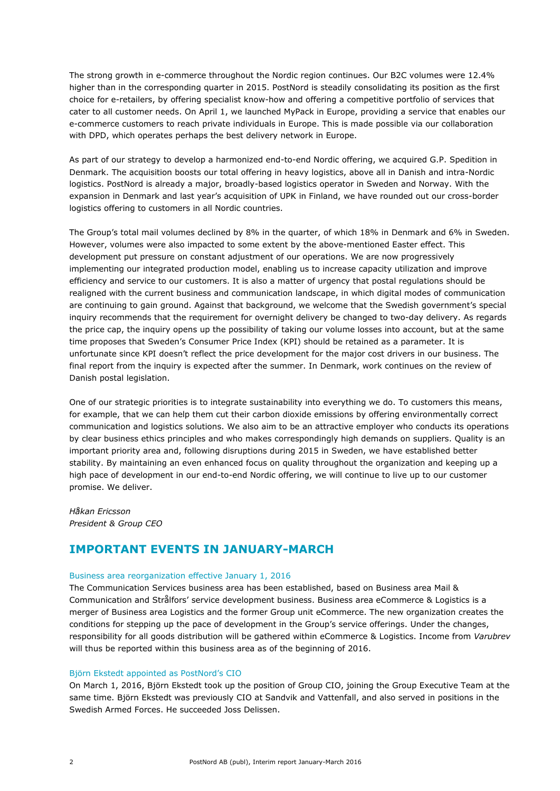The strong growth in e-commerce throughout the Nordic region continues. Our B2C volumes were 12.4% higher than in the corresponding quarter in 2015. PostNord is steadily consolidating its position as the first choice for e-retailers, by offering specialist know-how and offering a competitive portfolio of services that cater to all customer needs. On April 1, we launched MyPack in Europe, providing a service that enables our e-commerce customers to reach private individuals in Europe. This is made possible via our collaboration with DPD, which operates perhaps the best delivery network in Europe.

As part of our strategy to develop a harmonized end-to-end Nordic offering, we acquired G.P. Spedition in Denmark. The acquisition boosts our total offering in heavy logistics, above all in Danish and intra-Nordic logistics. PostNord is already a major, broadly-based logistics operator in Sweden and Norway. With the expansion in Denmark and last year's acquisition of UPK in Finland, we have rounded out our cross-border logistics offering to customers in all Nordic countries.

The Group's total mail volumes declined by 8% in the quarter, of which 18% in Denmark and 6% in Sweden. However, volumes were also impacted to some extent by the above-mentioned Easter effect. This development put pressure on constant adjustment of our operations. We are now progressively implementing our integrated production model, enabling us to increase capacity utilization and improve efficiency and service to our customers. It is also a matter of urgency that postal regulations should be realigned with the current business and communication landscape, in which digital modes of communication are continuing to gain ground. Against that background, we welcome that the Swedish government's special inquiry recommends that the requirement for overnight delivery be changed to two-day delivery. As regards the price cap, the inquiry opens up the possibility of taking our volume losses into account, but at the same time proposes that Sweden's Consumer Price Index (KPI) should be retained as a parameter. It is unfortunate since KPI doesn't reflect the price development for the major cost drivers in our business. The final report from the inquiry is expected after the summer. In Denmark, work continues on the review of Danish postal legislation.

One of our strategic priorities is to integrate sustainability into everything we do. To customers this means, for example, that we can help them cut their carbon dioxide emissions by offering environmentally correct communication and logistics solutions. We also aim to be an attractive employer who conducts its operations by clear business ethics principles and who makes correspondingly high demands on suppliers. Quality is an important priority area and, following disruptions during 2015 in Sweden, we have established better stability. By maintaining an even enhanced focus on quality throughout the organization and keeping up a high pace of development in our end-to-end Nordic offering, we will continue to live up to our customer promise. We deliver.

*Håkan Ericsson President & Group CEO*

### **IMPORTANT EVENTS IN JANUARY-MARCH**

#### Business area reorganization effective January 1, 2016

The Communication Services business area has been established, based on Business area Mail & Communication and Strålfors' service development business. Business area eCommerce & Logistics is a merger of Business area Logistics and the former Group unit eCommerce. The new organization creates the conditions for stepping up the pace of development in the Group's service offerings. Under the changes, responsibility for all goods distribution will be gathered within eCommerce & Logistics. Income from *Varubrev* will thus be reported within this business area as of the beginning of 2016.

#### Björn Ekstedt appointed as PostNord's CIO

On March 1, 2016, Björn Ekstedt took up the position of Group CIO, joining the Group Executive Team at the same time. Björn Ekstedt was previously CIO at Sandvik and Vattenfall, and also served in positions in the Swedish Armed Forces. He succeeded Joss Delissen.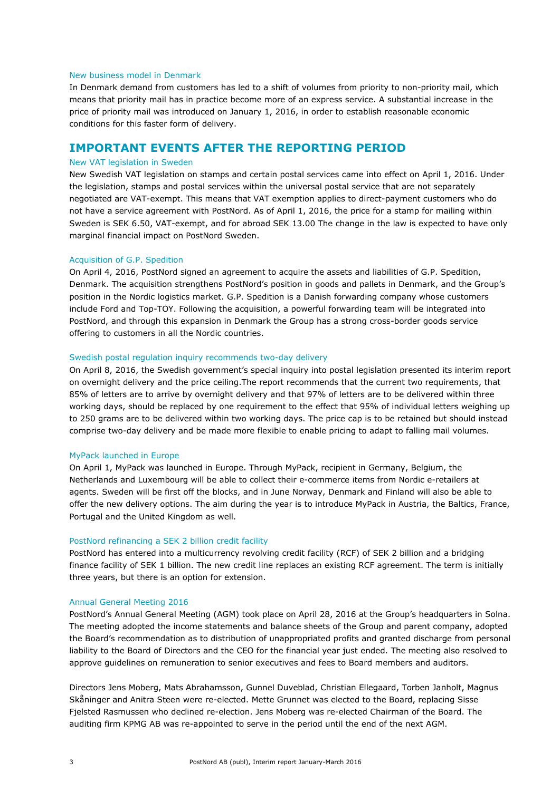#### New business model in Denmark

In Denmark demand from customers has led to a shift of volumes from priority to non-priority mail, which means that priority mail has in practice become more of an express service. A substantial increase in the price of priority mail was introduced on January 1, 2016, in order to establish reasonable economic conditions for this faster form of delivery.

### **IMPORTANT EVENTS AFTER THE REPORTING PERIOD**

#### New VAT legislation in Sweden

New Swedish VAT legislation on stamps and certain postal services came into effect on April 1, 2016. Under the legislation, stamps and postal services within the universal postal service that are not separately negotiated are VAT-exempt. This means that VAT exemption applies to direct-payment customers who do not have a service agreement with PostNord. As of April 1, 2016, the price for a stamp for mailing within Sweden is SEK 6.50, VAT-exempt, and for abroad SEK 13.00 The change in the law is expected to have only marginal financial impact on PostNord Sweden.

#### Acquisition of G.P. Spedition

On April 4, 2016, PostNord signed an agreement to acquire the assets and liabilities of G.P. Spedition, Denmark. The acquisition strengthens PostNord's position in goods and pallets in Denmark, and the Group's position in the Nordic logistics market. G.P. Spedition is a Danish forwarding company whose customers include Ford and Top-TOY. Following the acquisition, a powerful forwarding team will be integrated into PostNord, and through this expansion in Denmark the Group has a strong cross-border goods service offering to customers in all the Nordic countries.

#### Swedish postal regulation inquiry recommends two-day delivery

On April 8, 2016, the Swedish government's special inquiry into postal legislation presented its interim report on overnight delivery and the price ceiling.The report recommends that the current two requirements, that 85% of letters are to arrive by overnight delivery and that 97% of letters are to be delivered within three working days, should be replaced by one requirement to the effect that 95% of individual letters weighing up to 250 grams are to be delivered within two working days. The price cap is to be retained but should instead comprise two-day delivery and be made more flexible to enable pricing to adapt to falling mail volumes.

#### MyPack launched in Europe

On April 1, MyPack was launched in Europe. Through MyPack, recipient in Germany, Belgium, the Netherlands and Luxembourg will be able to collect their e-commerce items from Nordic e-retailers at agents. Sweden will be first off the blocks, and in June Norway, Denmark and Finland will also be able to offer the new delivery options. The aim during the year is to introduce MyPack in Austria, the Baltics, France, Portugal and the United Kingdom as well.

#### PostNord refinancing a SEK 2 billion credit facility

PostNord has entered into a multicurrency revolving credit facility (RCF) of SEK 2 billion and a bridging finance facility of SEK 1 billion. The new credit line replaces an existing RCF agreement. The term is initially three years, but there is an option for extension.

#### Annual General Meeting 2016

PostNord's Annual General Meeting (AGM) took place on April 28, 2016 at the Group's headquarters in Solna. The meeting adopted the income statements and balance sheets of the Group and parent company, adopted the Board's recommendation as to distribution of unappropriated profits and granted discharge from personal liability to the Board of Directors and the CEO for the financial year just ended. The meeting also resolved to approve guidelines on remuneration to senior executives and fees to Board members and auditors.

Directors Jens Moberg, Mats Abrahamsson, Gunnel Duveblad, Christian Ellegaard, Torben Janholt, Magnus Skåninger and Anitra Steen were re-elected. Mette Grunnet was elected to the Board, replacing Sisse Fjelsted Rasmussen who declined re-election. Jens Moberg was re-elected Chairman of the Board. The auditing firm KPMG AB was re-appointed to serve in the period until the end of the next AGM.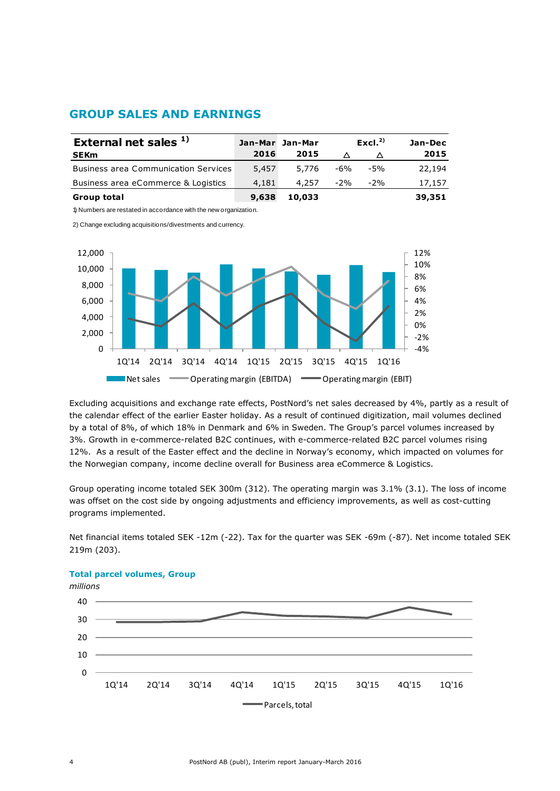### **GROUP SALES AND EARNINGS**

| External net sales 1)                       |       | Jan-Mar Jan-Mar |        | Excl. <sup>2</sup> | Jan-Dec |
|---------------------------------------------|-------|-----------------|--------|--------------------|---------|
| <b>SEKm</b>                                 | 2016  | 2015            |        |                    | 2015    |
| <b>Business area Communication Services</b> | 5,457 | 5.776           | -6%    | -5%                | 22,194  |
| Business area eCommerce & Logistics         | 4,181 | 4.257           | $-2\%$ | $-2%$              | 17,157  |
| Group total                                 | 9,638 | 10,033          |        |                    | 39,351  |

1) Numbers are restated in accordance with the new organization.

2) Change excluding acquisitions/divestments and currency.



Excluding acquisitions and exchange rate effects, PostNord's net sales decreased by 4%, partly as a result of the calendar effect of the earlier Easter holiday. As a result of continued digitization, mail volumes declined by a total of 8%, of which 18% in Denmark and 6% in Sweden. The Group's parcel volumes increased by 3%. Growth in e-commerce-related B2C continues, with e-commerce-related B2C parcel volumes rising 12%. As a result of the Easter effect and the decline in Norway's economy, which impacted on volumes for the Norwegian company, income decline overall for Business area eCommerce & Logistics.

Group operating income totaled SEK 300m (312). The operating margin was 3.1% (3.1). The loss of income was offset on the cost side by ongoing adjustments and efficiency improvements, as well as cost-cutting programs implemented.

Net financial items totaled SEK -12m (-22). Tax for the quarter was SEK -69m (-87). Net income totaled SEK 219m (203).



### **Total parcel volumes, Group**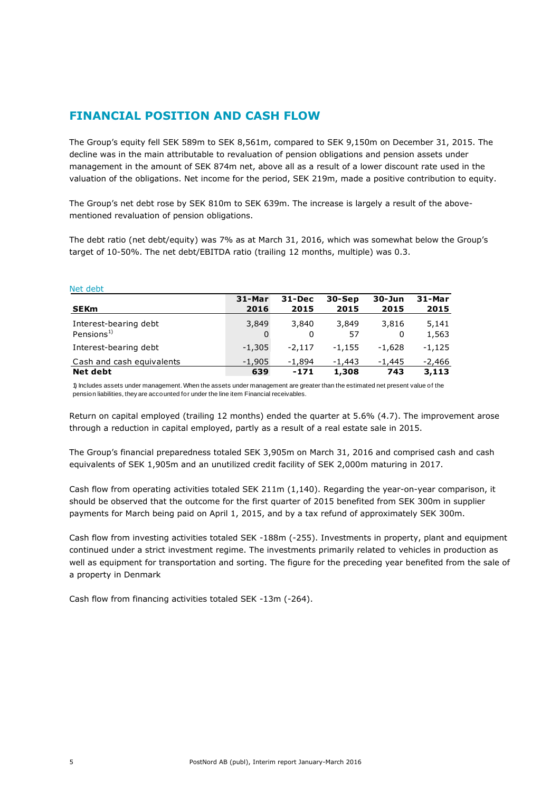### **FINANCIAL POSITION AND CASH FLOW**

The Group's equity fell SEK 589m to SEK 8,561m, compared to SEK 9,150m on December 31, 2015. The decline was in the main attributable to revaluation of pension obligations and pension assets under management in the amount of SEK 874m net, above all as a result of a lower discount rate used in the valuation of the obligations. Net income for the period, SEK 219m, made a positive contribution to equity.

The Group's net debt rose by SEK 810m to SEK 639m. The increase is largely a result of the abovementioned revaluation of pension obligations.

The debt ratio (net debt/equity) was 7% as at March 31, 2016, which was somewhat below the Group's target of 10-50%. The net debt/EBITDA ratio (trailing 12 months, multiple) was 0.3.

| 31-Mar     | 31-Dec     | $30 -$ Sep  | $30 - Jun$ | 31-Mar         |
|------------|------------|-------------|------------|----------------|
| 2016       | 2015       | 2015        | 2015       | 2015           |
| 3,849<br>0 | 3,840<br>0 | 3,849<br>57 | 3,816<br>0 | 5,141<br>1,563 |
| $-1,305$   | $-2.117$   | $-1.155$    | $-1.628$   | $-1,125$       |
| $-1,905$   | $-1.894$   | $-1.443$    | -1,445     | $-2,466$       |
| 639        | $-171$     | 1,308       | 743        | 3,113          |
|            |            |             |            |                |

1) Includes assets under management. When the assets under management are greater than the estimated net present value of the pension liabilities, they are accounted for under the line item Financial receivables.

Return on capital employed (trailing 12 months) ended the quarter at 5.6% (4.7). The improvement arose through a reduction in capital employed, partly as a result of a real estate sale in 2015.

The Group's financial preparedness totaled SEK 3,905m on March 31, 2016 and comprised cash and cash equivalents of SEK 1,905m and an unutilized credit facility of SEK 2,000m maturing in 2017.

Cash flow from operating activities totaled SEK 211m (1,140). Regarding the year-on-year comparison, it should be observed that the outcome for the first quarter of 2015 benefited from SEK 300m in supplier payments for March being paid on April 1, 2015, and by a tax refund of approximately SEK 300m.

Cash flow from investing activities totaled SEK -188m (-255). Investments in property, plant and equipment continued under a strict investment regime. The investments primarily related to vehicles in production as well as equipment for transportation and sorting. The figure for the preceding year benefited from the sale of a property in Denmark

Cash flow from financing activities totaled SEK -13m (-264).

Not dobt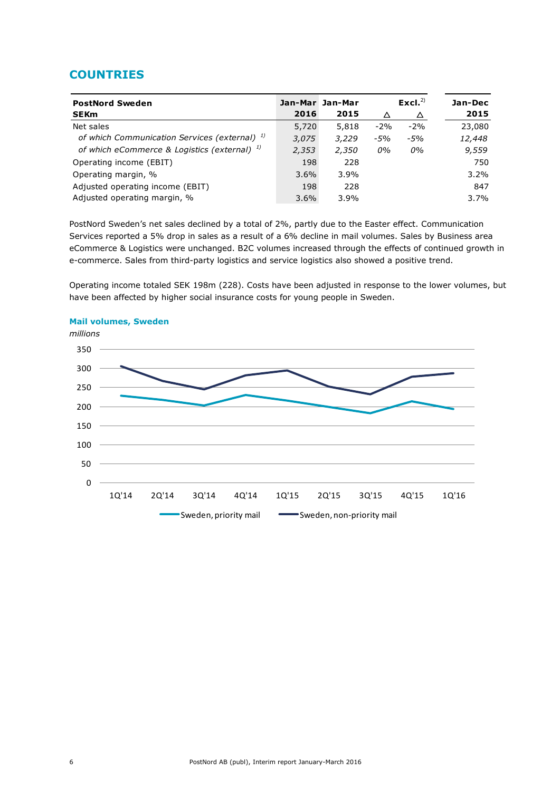### **COUNTRIES**

| <b>PostNord Sweden</b>                                   |         | Jan-Mar Jan-Mar |        | Excl. <sup>2</sup> | Jan-Dec |
|----------------------------------------------------------|---------|-----------------|--------|--------------------|---------|
| <b>SEKm</b>                                              | 2016    | 2015            | Δ      | △                  | 2015    |
| Net sales                                                | 5,720   | 5,818           | $-2\%$ | $-2\%$             | 23,080  |
| of which Communication Services (external) <sup>1)</sup> | 3,075   | 3,229           | -5%    | $-5%$              | 12,448  |
| of which eCommerce & Logistics (external) $1$ )          | 2,353   | 2,350           | 0%     | $0\%$              | 9,559   |
| Operating income (EBIT)                                  | 198     | 228             |        |                    | 750     |
| Operating margin, %                                      | 3.6%    | 3.9%            |        |                    | $3.2\%$ |
| Adjusted operating income (EBIT)                         | 198     | 228             |        |                    | 847     |
| Adjusted operating margin, %                             | $3.6\%$ | 3.9%            |        |                    | 3.7%    |

PostNord Sweden's net sales declined by a total of 2%, partly due to the Easter effect. Communication Services reported a 5% drop in sales as a result of a 6% decline in mail volumes. Sales by Business area eCommerce & Logistics were unchanged. B2C volumes increased through the effects of continued growth in e-commerce. Sales from third-party logistics and service logistics also showed a positive trend.

Operating income totaled SEK 198m (228). Costs have been adjusted in response to the lower volumes, but have been affected by higher social insurance costs for young people in Sweden.



#### **Mail volumes, Sweden**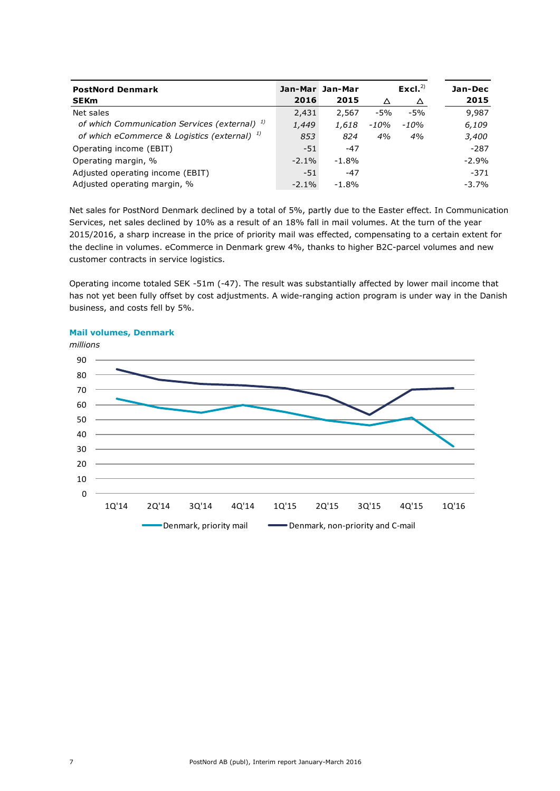| <b>PostNord Denmark</b>                                  |          | Jan-Mar Jan-Mar |      | Excl. $^{2)}$ | Jan-Dec |
|----------------------------------------------------------|----------|-----------------|------|---------------|---------|
| <b>SEKm</b>                                              | 2016     | 2015            | Δ    | Δ             | 2015    |
| Net sales                                                | 2,431    | 2.567           | -5%  | $-5%$         | 9,987   |
| of which Communication Services (external) <sup>1)</sup> | 1,449    | 1.618           | -10% | $-10%$        | 6,109   |
| of which eCommerce & Logistics (external) <sup>1)</sup>  | 853      | 824             | 4%   | 4%            | 3,400   |
| Operating income (EBIT)                                  | $-51$    | $-47$           |      |               | $-287$  |
| Operating margin, %                                      | $-2.1\%$ | $-1.8%$         |      |               | $-2.9%$ |
| Adjusted operating income (EBIT)                         | $-51$    | $-47$           |      |               | $-371$  |
| Adjusted operating margin, %                             | $-2.1\%$ | $-1.8%$         |      |               | $-3.7%$ |

Net sales for PostNord Denmark declined by a total of 5%, partly due to the Easter effect. In Communication Services, net sales declined by 10% as a result of an 18% fall in mail volumes. At the turn of the year 2015/2016, a sharp increase in the price of priority mail was effected, compensating to a certain extent for the decline in volumes. eCommerce in Denmark grew 4%, thanks to higher B2C-parcel volumes and new customer contracts in service logistics.

Operating income totaled SEK -51m (-47). The result was substantially affected by lower mail income that has not yet been fully offset by cost adjustments. A wide-ranging action program is under way in the Danish business, and costs fell by 5%.



#### **Mail volumes, Denmark**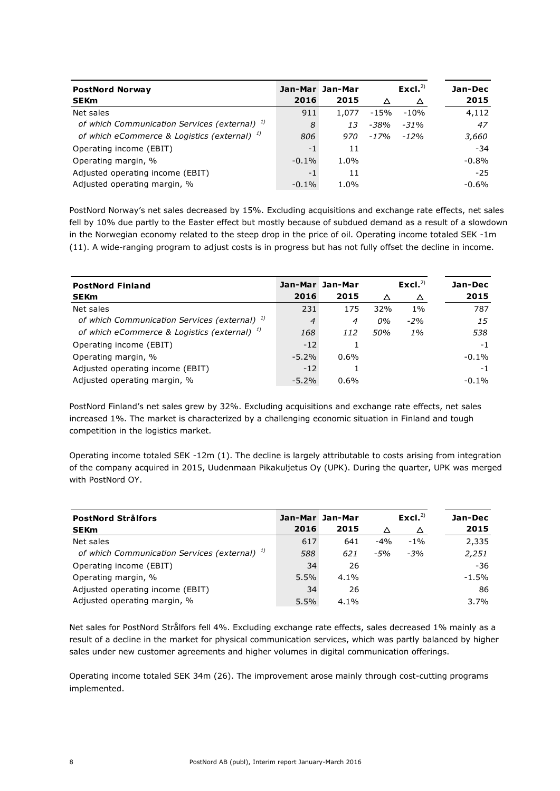| <b>PostNord Norway</b>                                   |          | Jan-Mar Jan-Mar |      | Excl. <sup>2</sup> | Jan-Dec  |
|----------------------------------------------------------|----------|-----------------|------|--------------------|----------|
| <b>SEKm</b>                                              | 2016     | 2015            | Δ    | Δ                  | 2015     |
| Net sales                                                | 911      | 1.077           | -15% | $-10%$             | 4,112    |
| of which Communication Services (external) <sup>1)</sup> | 8        | 13              | -38% | $-31%$             | 47       |
| of which eCommerce & Logistics (external) <sup>1)</sup>  | 806      | 970             | -17% | $-12%$             | 3,660    |
| Operating income (EBIT)                                  | $-1$     | 11              |      |                    | $-34$    |
| Operating margin, %                                      | $-0.1\%$ | $1.0\%$         |      |                    | $-0.8%$  |
| Adjusted operating income (EBIT)                         | $-1$     | 11              |      |                    | $-25$    |
| Adjusted operating margin, %                             | $-0.1%$  | 1.0%            |      |                    | $-0.6\%$ |

PostNord Norway's net sales decreased by 15%. Excluding acquisitions and exchange rate effects, net sales fell by 10% due partly to the Easter effect but mostly because of subdued demand as a result of a slowdown in the Norwegian economy related to the steep drop in the price of oil. Operating income totaled SEK -1m (11). A wide-ranging program to adjust costs is in progress but has not fully offset the decline in income.

| <b>PostNord Finland</b>                                  |                | Jan-Mar Jan-Mar |     | Excl. <sup>2</sup> | Jan-Dec  |
|----------------------------------------------------------|----------------|-----------------|-----|--------------------|----------|
| <b>SEKm</b>                                              | 2016           | 2015            | Δ   | Δ                  | 2015     |
| Net sales                                                | 231            | 175             | 32% | $1\%$              | 787      |
| of which Communication Services (external) <sup>1)</sup> | $\overline{4}$ | 4               | 0%  | $-2%$              | 15       |
| of which eCommerce & Logistics (external) <sup>1)</sup>  | 168            | 112             | 50% | 1%                 | 538      |
| Operating income (EBIT)                                  | $-12$          |                 |     |                    | -1       |
| Operating margin, %                                      | $-5.2\%$       | $0.6\%$         |     |                    | $-0.1\%$ |
| Adjusted operating income (EBIT)                         | $-12$          |                 |     |                    | -1       |
| Adjusted operating margin, %                             | $-5.2%$        | 0.6%            |     |                    | $-0.1\%$ |

PostNord Finland's net sales grew by 32%. Excluding acquisitions and exchange rate effects, net sales increased 1%. The market is characterized by a challenging economic situation in Finland and tough competition in the logistics market.

Operating income totaled SEK -12m (1). The decline is largely attributable to costs arising from integration of the company acquired in 2015, Uudenmaan Pikakuljetus Oy (UPK). During the quarter, UPK was merged with PostNord OY.

|      |         |                 | Excl. <sup>2</sup> | Jan-Dec |
|------|---------|-----------------|--------------------|---------|
| 2016 | 2015    | Δ               | Δ                  | 2015    |
| 617  | 641     | $-4%$           | $-1\%$             | 2,335   |
| 588  | 621     | $-5%$           | $-3%$              | 2,251   |
| 34   | 26      |                 |                    | $-36$   |
| 5.5% | $4.1\%$ |                 |                    | $-1.5%$ |
| 34   | 26      |                 |                    | 86      |
| 5.5% | $4.1\%$ |                 |                    | 3.7%    |
|      |         | Jan-Mar Jan-Mar |                    |         |

Net sales for PostNord Strålfors fell 4%. Excluding exchange rate effects, sales decreased 1% mainly as a result of a decline in the market for physical communication services, which was partly balanced by higher sales under new customer agreements and higher volumes in digital communication offerings.

Operating income totaled SEK 34m (26). The improvement arose mainly through cost-cutting programs implemented.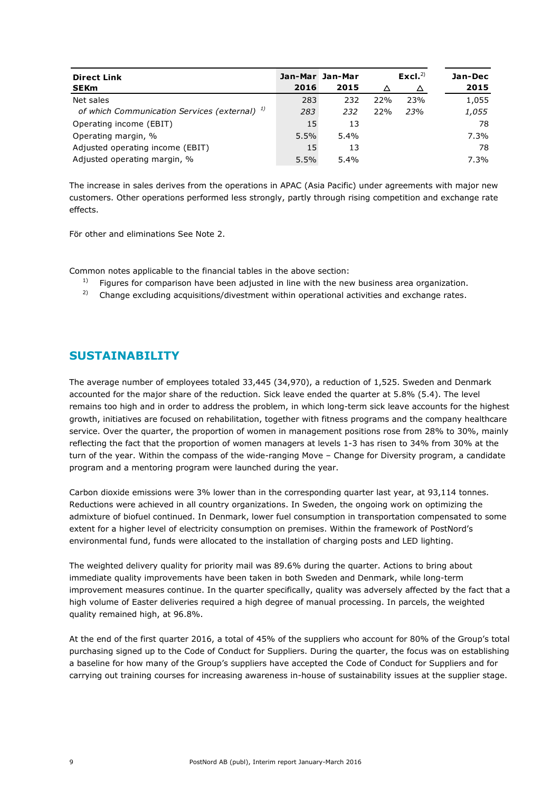| <b>Direct Link</b>                                       |      | Jan-Mar Jan-Mar |     | Excl. <sup>2</sup> | Jan-Dec |
|----------------------------------------------------------|------|-----------------|-----|--------------------|---------|
| <b>SEKm</b>                                              | 2016 | 2015            | Δ   | Δ                  | 2015    |
| Net sales                                                | 283  | 232             | 22% | 23%                | 1,055   |
| of which Communication Services (external) <sup>1)</sup> | 283  | 232             | 22% | 23%                | 1,055   |
| Operating income (EBIT)                                  | 15   | 13              |     |                    | 78      |
| Operating margin, %                                      | 5.5% | $5.4\%$         |     |                    | 7.3%    |
| Adjusted operating income (EBIT)                         | 15   | 13              |     |                    | 78      |
| Adjusted operating margin, %                             | 5.5% | $5.4\%$         |     |                    | 7.3%    |

The increase in sales derives from the operations in APAC (Asia Pacific) under agreements with major new customers. Other operations performed less strongly, partly through rising competition and exchange rate effects.

För other and eliminations See Note 2.

Common notes applicable to the financial tables in the above section:

- $1)$  Figures for comparison have been adjusted in line with the new business area organization.
- <sup>2)</sup> Change excluding acquisitions/divestment within operational activities and exchange rates.

### **SUSTAINABILITY**

The average number of employees totaled 33,445 (34,970), a reduction of 1,525. Sweden and Denmark accounted for the major share of the reduction. Sick leave ended the quarter at 5.8% (5.4). The level remains too high and in order to address the problem, in which long-term sick leave accounts for the highest growth, initiatives are focused on rehabilitation, together with fitness programs and the company healthcare service. Over the quarter, the proportion of women in management positions rose from 28% to 30%, mainly reflecting the fact that the proportion of women managers at levels 1-3 has risen to 34% from 30% at the turn of the year. Within the compass of the wide-ranging Move – Change for Diversity program, a candidate program and a mentoring program were launched during the year.

Carbon dioxide emissions were 3% lower than in the corresponding quarter last year, at 93,114 tonnes. Reductions were achieved in all country organizations. In Sweden, the ongoing work on optimizing the admixture of biofuel continued. In Denmark, lower fuel consumption in transportation compensated to some extent for a higher level of electricity consumption on premises. Within the framework of PostNord's environmental fund, funds were allocated to the installation of charging posts and LED lighting.

The weighted delivery quality for priority mail was 89.6% during the quarter. Actions to bring about immediate quality improvements have been taken in both Sweden and Denmark, while long-term improvement measures continue. In the quarter specifically, quality was adversely affected by the fact that a high volume of Easter deliveries required a high degree of manual processing. In parcels, the weighted quality remained high, at 96.8%.

At the end of the first quarter 2016, a total of 45% of the suppliers who account for 80% of the Group's total purchasing signed up to the Code of Conduct for Suppliers. During the quarter, the focus was on establishing a baseline for how many of the Group's suppliers have accepted the Code of Conduct for Suppliers and for carrying out training courses for increasing awareness in-house of sustainability issues at the supplier stage.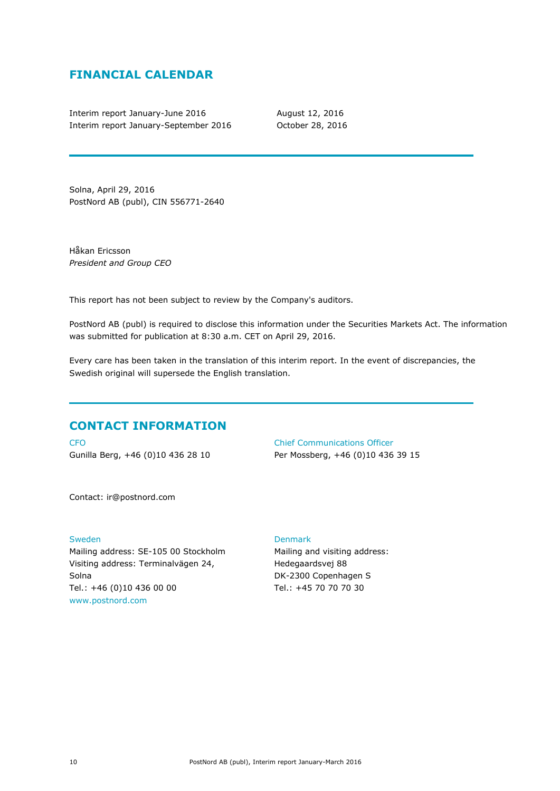### **FINANCIAL CALENDAR**

Interim report January-June 2016 August 12, 2016 Interim report January-September 2016 October 28, 2016

Solna, April 29, 2016 PostNord AB (publ), CIN 556771-2640

Håkan Ericsson *President and Group CEO*

This report has not been subject to review by the Company's auditors.

PostNord AB (publ) is required to disclose this information under the Securities Markets Act. The information was submitted for publication at 8:30 a.m. CET on April 29, 2016.

Every care has been taken in the translation of this interim report. In the event of discrepancies, the Swedish original will supersede the English translation.

### **CONTACT INFORMATION**

**CFO** Gunilla Berg, +46 (0)10 436 28 10 Chief Communications Officer Per Mossberg, +46 (0)10 436 39 15

Contact: ir@postnord.com

#### Sweden

Mailing address: SE-105 00 Stockholm Visiting address: Terminalvägen 24, Solna Tel.: +46 (0)10 436 00 00 [www.postnord.com](http://www.postnord.com/)

#### Denmark

Mailing and visiting address: Hedegaardsvej 88 DK-2300 Copenhagen S Tel.: +45 70 70 70 30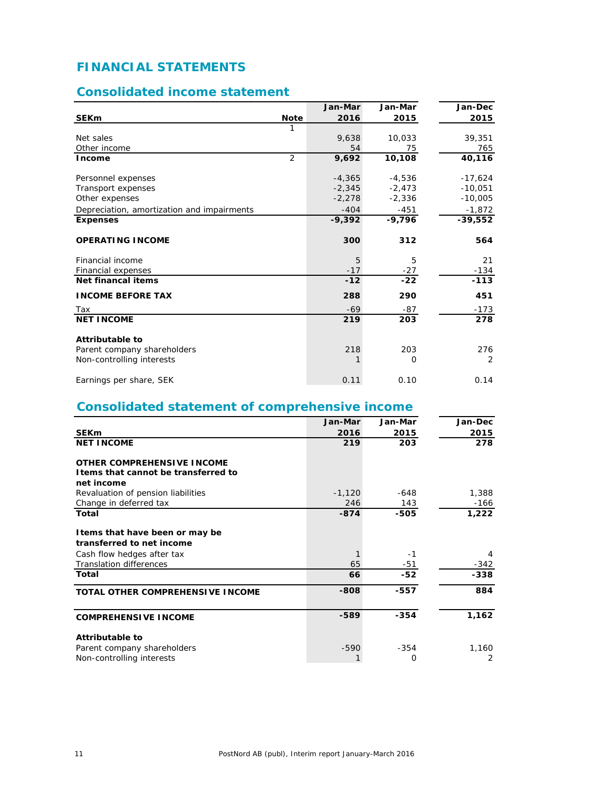# **FINANCIAL STATEMENTS**

### **Consolidated income statement**

|                                            |                | Jan-Mar  | Jan-Mar  | Jan-Dec   |
|--------------------------------------------|----------------|----------|----------|-----------|
| <b>SEKm</b>                                | <b>Note</b>    | 2016     | 2015     | 2015      |
|                                            | 1              |          |          |           |
| Net sales                                  |                | 9,638    | 10,033   | 39,351    |
| Other income                               |                | 54       | 75       | 765       |
| <b>Income</b>                              | $\overline{2}$ | 9,692    | 10,108   | 40,116    |
|                                            |                |          |          |           |
| Personnel expenses                         |                | $-4,365$ | $-4,536$ | $-17,624$ |
| Transport expenses                         |                | $-2,345$ | $-2,473$ | $-10,051$ |
| Other expenses                             |                | $-2,278$ | $-2,336$ | $-10,005$ |
| Depreciation, amortization and impairments |                | $-404$   | -451     | $-1,872$  |
| <b>Expenses</b>                            |                | $-9,392$ | $-9,796$ | $-39,552$ |
| <b>OPERATING INCOME</b>                    |                | 300      | 312      | 564       |
| Financial income                           |                | 5        | 5        | 21        |
| Financial expenses                         |                | $-17$    | $-27$    | $-134$    |
| Net financal items                         |                | $-12$    | $-22$    | $-113$    |
| <b>INCOME BEFORE TAX</b>                   |                | 288      | 290      | 451       |
| Tax                                        |                | $-69$    | -87      | $-173$    |
| <b>NET INCOME</b>                          |                | 219      | 203      | 278       |
| Attributable to                            |                |          |          |           |
| Parent company shareholders                |                | 218      | 203      | 276       |
| Non-controlling interests                  |                |          | $\Omega$ | 2         |
| Earnings per share, SEK                    |                | 0.11     | 0.10     | 0.14      |

# **Consolidated statement of comprehensive income**

|                                         | Jan-Mar  | Jan-Mar | Jan-Dec |
|-----------------------------------------|----------|---------|---------|
| <b>SEKm</b>                             | 2016     | 2015    | 2015    |
| <b>NET INCOME</b>                       | 219      | 203     | 278     |
| OTHER COMPREHENSIVE INCOME              |          |         |         |
| I tems that cannot be transferred to    |          |         |         |
| net income                              |          |         |         |
| Revaluation of pension liabilities      | $-1,120$ | -648    | 1,388   |
| Change in deferred tax                  | 246      | 143     | $-166$  |
| Total                                   | $-874$   | -505    | 1,222   |
| I tems that have been or may be         |          |         |         |
| transferred to net income               |          |         |         |
| Cash flow hedges after tax              |          | $-1$    |         |
| <b>Translation differences</b>          | 65       | -51     | -342    |
| Total                                   | 66       | -52     | -338    |
| <b>TOTAL OTHER COMPREHENSIVE INCOME</b> | -808     | $-557$  | 884     |
| <b>COMPREHENSIVE INCOME</b>             | -589     | $-354$  | 1,162   |
|                                         |          |         |         |
| Attributable to                         |          |         |         |
| Parent company shareholders             | $-590$   | $-354$  | 1,160   |
| Non-controlling interests               |          | 0       | 2       |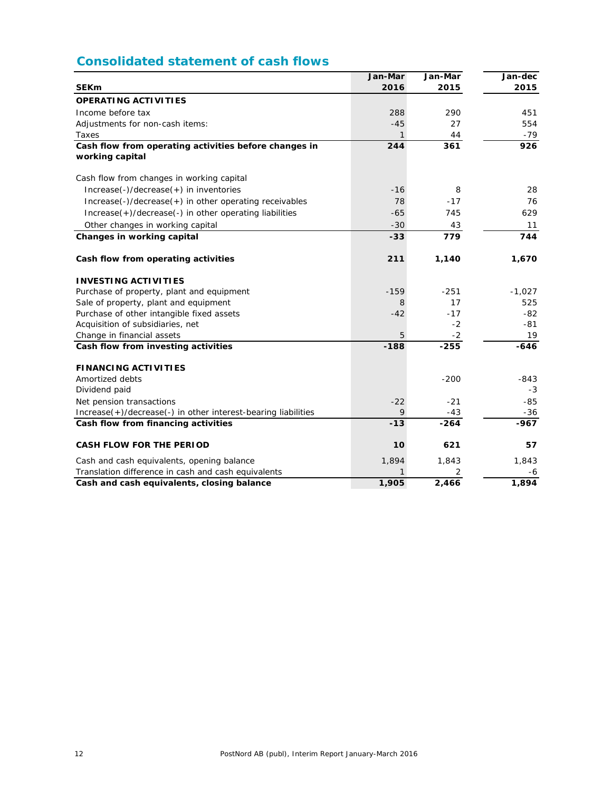## **Consolidated statement of cash flows**

|                                                                                                      | Jan-Mar | Jan-Mar       | Jan-dec         |
|------------------------------------------------------------------------------------------------------|---------|---------------|-----------------|
| <b>SEKm</b>                                                                                          | 2016    | 2015          | 2015            |
| <b>OPERATING ACTIVITIES</b>                                                                          |         |               |                 |
| Income before tax                                                                                    | 288     | 290           | 451             |
| Adjustments for non-cash items:                                                                      | $-45$   | 27            | 554             |
| Taxes                                                                                                | 1       | 44            | $-79$           |
| Cash flow from operating activities before changes in                                                | 244     | 361           | 926             |
| working capital                                                                                      |         |               |                 |
| Cash flow from changes in working capital                                                            |         |               |                 |
|                                                                                                      |         |               |                 |
| Increase(-)/decrease(+) in inventories                                                               | $-16$   | 8             | 28              |
| Increase(-)/decrease(+) in other operating receivables                                               | 78      | $-17$         | 76              |
| Increase(+)/decrease(-) in other operating liabilities                                               | $-65$   | 745           | 629             |
| Other changes in working capital                                                                     | $-30$   | 43            | 11              |
| Changes in working capital                                                                           | $-33$   | 779           | 744             |
| Cash flow from operating activities                                                                  | 211     | 1,140         | 1,670           |
| <b>INVESTING ACTIVITIES</b>                                                                          |         |               |                 |
| Purchase of property, plant and equipment                                                            | $-159$  | $-251$        | $-1,027$        |
| Sale of property, plant and equipment                                                                | 8       | 17            | 525             |
| Purchase of other intangible fixed assets                                                            | $-42$   | $-17$         | $-82$           |
| Acquisition of subsidiaries, net                                                                     |         | $-2$          | $-81$           |
| Change in financial assets                                                                           | 5       | $-2$          | 19              |
| Cash flow from investing activities                                                                  | $-188$  | $-255$        | $-646$          |
| <b>FINANCING ACTIVITIES</b>                                                                          |         |               |                 |
| Amortized debts                                                                                      |         | $-200$        | $-843$          |
| Dividend paid                                                                                        |         |               | -3              |
| Net pension transactions                                                                             | $-22$   | $-21$         | $-85$           |
|                                                                                                      | 9       |               |                 |
| Increase(+)/decrease(-) in other interest-bearing liabilities<br>Cash flow from financing activities | $-13$   | -43<br>$-264$ | $-36$<br>$-967$ |
|                                                                                                      |         |               |                 |
| <b>CASH FLOW FOR THE PERIOD</b>                                                                      | 10      | 621           | 57              |
| Cash and cash equivalents, opening balance                                                           | 1,894   | 1,843         | 1,843           |
| Translation difference in cash and cash equivalents                                                  | 1       | 2             | -6              |
| Cash and cash equivalents, closing balance                                                           | 1,905   | 2,466         | 1,894           |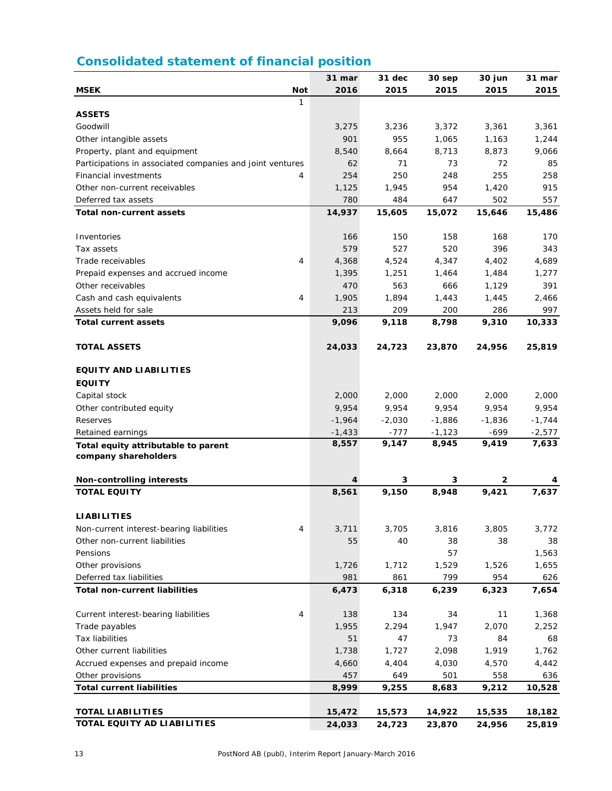| <b>Consolidated statement of financial position</b> |  |  |
|-----------------------------------------------------|--|--|
|                                                     |  |  |

| <b>MSEK</b><br><b>Not</b>                                   | 31 mar<br>2016 | 31 dec<br>2015 | 30 sep<br>2015 | 30 jun<br>2015 | 31 mar<br>2015 |
|-------------------------------------------------------------|----------------|----------------|----------------|----------------|----------------|
| 1                                                           |                |                |                |                |                |
| <b>ASSETS</b>                                               |                |                |                |                |                |
| Goodwill                                                    | 3,275          | 3,236          | 3,372          | 3,361          | 3,361          |
| Other intangible assets                                     | 901            | 955            | 1,065          | 1,163          | 1,244          |
| Property, plant and equipment                               | 8,540          | 8,664          | 8,713          | 8,873          | 9,066          |
| Participations in associated companies and joint ventures   | 62             | 71             | 73             | 72             | 85             |
| Financial investments<br>4                                  | 254            | 250            | 248            | 255            | 258            |
| Other non-current receivables                               | 1,125          | 1,945          | 954            | 1,420          | 915            |
| Deferred tax assets                                         | 780            | 484            | 647            | 502            | 557            |
| Total non-current assets                                    | 14,937         | 15,605         | 15,072         | 15,646         | 15,486         |
|                                                             |                |                |                |                |                |
| Inventories                                                 | 166            | 150            | 158            | 168            | 170            |
| Tax assets                                                  | 579            | 527            | 520            | 396            | 343            |
| 4<br>Trade receivables                                      | 4,368          | 4,524          | 4,347          | 4,402          | 4,689          |
| Prepaid expenses and accrued income                         | 1,395          | 1,251          | 1,464          | 1,484          | 1,277          |
| Other receivables                                           | 470            | 563            | 666            | 1,129          | 391            |
| Cash and cash equivalents<br>4                              | 1,905          | 1,894          | 1,443          | 1,445          | 2,466          |
| Assets held for sale                                        | 213            | 209            | 200            | 286            | 997            |
| <b>Total current assets</b>                                 | 9,096          | 9,118          | 8,798          | 9,310          | 10,333         |
| <b>TOTAL ASSETS</b>                                         | 24,033         | 24,723         | 23,870         | 24,956         | 25,819         |
|                                                             |                |                |                |                |                |
| <b>EQUITY AND LIABILITIES</b>                               |                |                |                |                |                |
| <b>EQUITY</b>                                               |                |                |                |                |                |
| Capital stock                                               | 2,000          | 2,000          | 2,000          | 2,000          | 2,000          |
| Other contributed equity                                    | 9,954          | 9,954          | 9,954          | 9,954          | 9,954          |
| Reserves                                                    | $-1,964$       | $-2,030$       | $-1,886$       | $-1,836$       | $-1,744$       |
| Retained earnings                                           | $-1,433$       | $-777$         | $-1,123$       | $-699$         | $-2,577$       |
| Total equity attributable to parent<br>company shareholders | 8,557          | 9,147          | 8,945          | 9,419          | 7,633          |
|                                                             |                |                |                |                |                |
| <b>Non-controlling interests</b>                            | 4              | 3              | З              | 2              |                |
| <b>TOTAL EQUITY</b>                                         | 8,561          | 9,150          | 8,948          | 9,421          | 7,637          |
|                                                             |                |                |                |                |                |
| <b>LIABILITIES</b>                                          |                |                |                |                |                |
| Non-current interest-bearing liabilities<br>4               | 3,711          | 3,705          | 3,816          | 3,805          | 3,772          |
| Other non-current liabilities                               | 55             | 40             | 38             | 38             | 38             |
| Pensions                                                    |                |                | 57             |                | 1,563          |
| Other provisions                                            | 1,726          | 1,712          | 1,529          | 1,526          | 1,655          |
| Deferred tax liabilities                                    | 981            | 861            | 799            | 954            | 626            |
| <b>Total non-current liabilities</b>                        | 6,473          | 6,318          | 6,239          | 6,323          | 7,654          |
| 4<br>Current interest-bearing liabilities                   | 138            | 134            | 34             | 11             | 1,368          |
| Trade payables                                              | 1,955          | 2,294          | 1,947          | 2,070          | 2,252          |
| Tax liabilities                                             | 51             | 47             | 73             | 84             | 68             |
| Other current liabilities                                   | 1,738          | 1,727          | 2,098          | 1,919          | 1,762          |
| Accrued expenses and prepaid income                         | 4,660          | 4,404          | 4,030          | 4,570          | 4,442          |
| Other provisions                                            | 457            | 649            | 501            | 558            | 636            |
| <b>Total current liabilities</b>                            | 8,999          | 9,255          | 8,683          | 9,212          | 10,528         |
|                                                             |                |                |                |                |                |
| <b>TOTAL LIABILITIES</b>                                    | 15,472         | 15,573         | 14,922         | 15,535         | 18,182         |
| TOTAL EQUITY AD LIABILITIES                                 | 24,033         | 24,723         | 23,870         | 24,956         | 25,819         |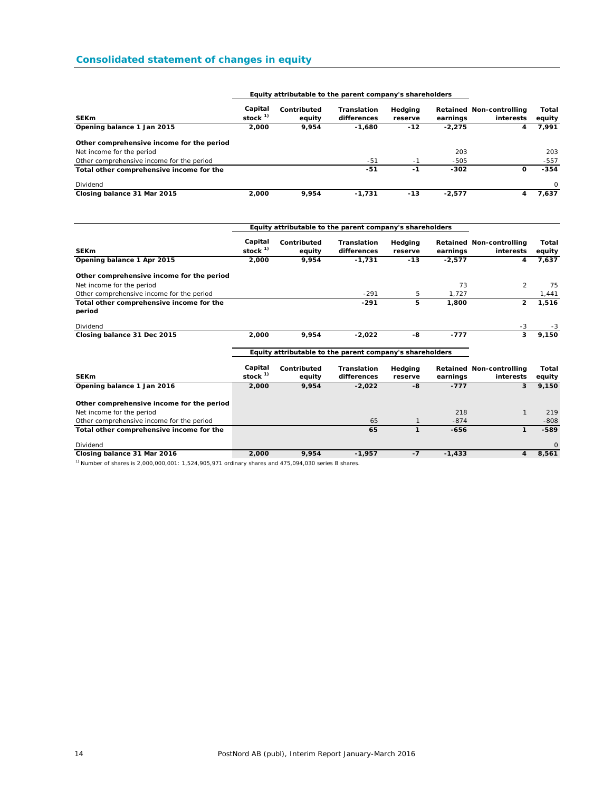| <b>SEKm</b>                               | Capital<br>stock $1$ | Contributed<br>equity | Translation<br>differences | Hedging<br>reserve | earnings | Retained Non-controlling<br>interests | Total<br>equity |
|-------------------------------------------|----------------------|-----------------------|----------------------------|--------------------|----------|---------------------------------------|-----------------|
| Opening balance 1 Jan 2015                | 2,000                | 9,954                 | $-1.680$                   | $-12$              | $-2.275$ | 4                                     | 7,991           |
| Other comprehensive income for the period |                      |                       |                            |                    |          |                                       |                 |
| Net income for the period                 |                      |                       |                            |                    | 203      |                                       | 203             |
| Other comprehensive income for the period |                      |                       | $-51$                      | -1                 | $-505$   |                                       | $-557$          |
| Total other comprehensive income for the  |                      |                       | $-51$                      | -1                 | $-302$   | o                                     | $-354$          |
| Dividend                                  |                      |                       |                            |                    |          |                                       | $\Omega$        |
| Closing balance 31 Mar 2015               | 2,000                | 9.954                 | $-1,731$                   | $-13$              | $-2,577$ | 4                                     | 7,637           |

|                                                    |                       | Equity attributable to the parent company's shareholders |                            |                    |          |                                       |                 |
|----------------------------------------------------|-----------------------|----------------------------------------------------------|----------------------------|--------------------|----------|---------------------------------------|-----------------|
| <b>SEKm</b>                                        | Capital<br>stock $1)$ | Contributed<br>equity                                    | Translation<br>differences | Hedging<br>reserve | earnings | Retained Non-controlling<br>interests | Total<br>equity |
| Opening balance 1 Apr 2015                         | 2,000                 | 9.954                                                    | $-1,731$                   | $-13$              | $-2,577$ | 4                                     | 7,637           |
| Other comprehensive income for the period          |                       |                                                          |                            |                    |          |                                       |                 |
| Net income for the period                          |                       |                                                          |                            |                    | 73       | 2                                     | 75              |
| Other comprehensive income for the period          |                       |                                                          | $-291$                     | 5                  | 1,727    |                                       | 1,441           |
| Total other comprehensive income for the<br>period |                       |                                                          | $-291$                     | 5                  | 1,800    | $\overline{2}$                        | 1,516           |
| Dividend                                           |                       |                                                          |                            |                    |          | -3                                    | $-3$            |
| Closing balance 31 Dec 2015                        | 2.000                 | 9.954                                                    | $-2.022$                   | -8                 | $-777$   | 3                                     | 9,150           |
|                                                    |                       | Equity attributable to the parent company's shareholders |                            |                    |          |                                       |                 |
|                                                    | Capital               | Contributed                                              | Translation                | Hedging            |          | Retained Non-controlling              | Total           |
| <b>SEKm</b>                                        | stock $1$             | equity                                                   | differences                | reserve            | earnings | interests                             | equity          |
| Opening balance 1 Jan 2016                         | 2,000                 | 9,954                                                    | $-2,022$                   | -8                 | $-777$   | 3                                     | 9,150           |
| Other comprehensive income for the period          |                       |                                                          |                            |                    |          |                                       |                 |
| Net income for the period                          |                       |                                                          |                            |                    | 218      | $\mathbf{1}$                          | 219             |
| Other comprehensive income for the period          |                       |                                                          | 65                         |                    | $-874$   |                                       | $-808$          |
| Total other comprehensive income for the           |                       |                                                          | 65                         | 1                  | $-656$   | 1                                     | $-589$          |
| Dividend                                           |                       |                                                          |                            |                    |          |                                       | $\circ$         |
| Closing balance 31 Mar 2016                        | 2.000                 | 9.954                                                    | $-1.957$                   | $-7$               | $-1,433$ | 4                                     | 8,561           |

#### **Equity attributable to the parent company's shareholders**

 $1)$  Number of shares is 2,000,000,001: 1,524,905,971 ordinary shares and 475,094,030 series B shares.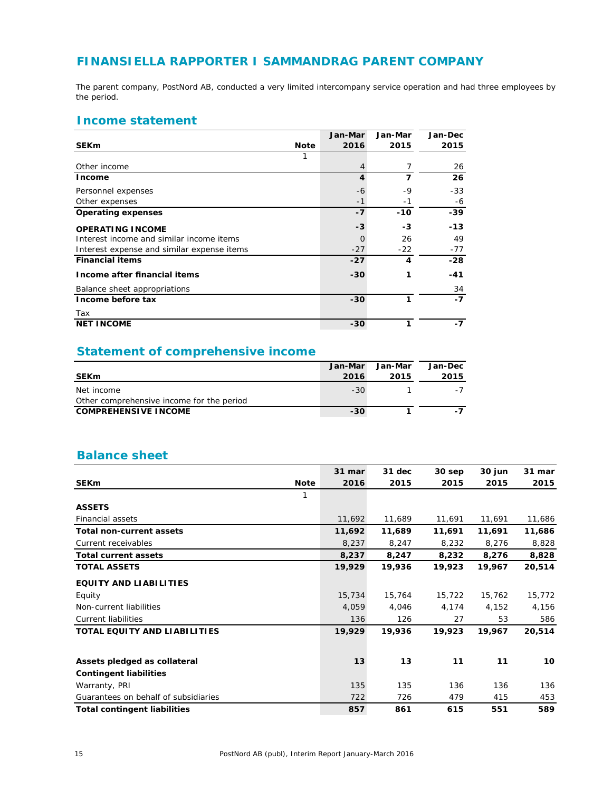### **FINANSIELLA RAPPORTER I SAMMANDRAG PARENT COMPANY**

The parent company, PostNord AB, conducted a very limited intercompany service operation and had three employees by the period.

### **Income statement**

|                                            |             | Jan-Mar          | Jan-Mar | Jan-Dec |
|--------------------------------------------|-------------|------------------|---------|---------|
| <b>SEKm</b>                                | <b>Note</b> | 2016             | 2015    | 2015    |
|                                            |             |                  |         |         |
| Other income                               |             | 4                | 7       | 26      |
| Income                                     |             | $\boldsymbol{4}$ |         | 26      |
| Personnel expenses                         |             | -6               | -9      | $-33$   |
| Other expenses                             |             | $-1$             | -1      | -6      |
| <b>Operating expenses</b>                  |             | $-7$             | $-10$   | $-39$   |
| <b>OPERATING INCOME</b>                    |             | $-3$             | -3      | $-13$   |
| Interest income and similar income items   |             | O                | 26      | 49      |
| Interest expense and similar expense items |             | $-27$            | $-22$   | $-77$   |
| <b>Financial items</b>                     |             | $-27$            | 4       | $-28$   |
| Income after financial items               |             | $-30$            | 1       | $-41$   |
| Balance sheet appropriations               |             |                  |         | 34      |
| Income before tax                          |             | $-30$            |         | $-7$    |
| Tax                                        |             |                  |         |         |
| <b>NET INCOME</b>                          |             | $-30$            | 1       | -7      |

### **Statement of comprehensive income**

|                                           | Jan-Mar | Jan-Mar | Jan-Dec |
|-------------------------------------------|---------|---------|---------|
| <b>SEKm</b>                               | 2016    | 2015    | 2015    |
| Net income                                | $-30$   |         |         |
| Other comprehensive income for the period |         |         |         |
| <b>COMPREHENSIVE INCOME</b>               | $-30$   |         |         |

### **Balance sheet**

|                                      |             | 31 mar | 31 dec | 30 sep | 30 jun | 31 mar |
|--------------------------------------|-------------|--------|--------|--------|--------|--------|
| <b>SEKm</b>                          | <b>Note</b> | 2016   | 2015   | 2015   | 2015   | 2015   |
|                                      | 1           |        |        |        |        |        |
| <b>ASSETS</b>                        |             |        |        |        |        |        |
| <b>Financial assets</b>              |             | 11,692 | 11,689 | 11,691 | 11,691 | 11,686 |
| <b>Total non-current assets</b>      |             | 11,692 | 11,689 | 11,691 | 11,691 | 11,686 |
| Current receivables                  |             | 8,237  | 8,247  | 8,232  | 8,276  | 8,828  |
| <b>Total current assets</b>          |             | 8,237  | 8,247  | 8,232  | 8,276  | 8,828  |
| <b>TOTAL ASSETS</b>                  |             | 19,929 | 19,936 | 19,923 | 19,967 | 20,514 |
| <b>EQUITY AND LIABILITIES</b>        |             |        |        |        |        |        |
| Equity                               |             | 15,734 | 15,764 | 15,722 | 15,762 | 15,772 |
| Non-current liabilities              |             | 4,059  | 4,046  | 4,174  | 4,152  | 4,156  |
| <b>Current liabilities</b>           |             | 136    | 126    | 27     | 53     | 586    |
| <b>TOTAL EQUITY AND LIABILITIES</b>  |             | 19,929 | 19,936 | 19,923 | 19,967 | 20,514 |
| Assets pledged as collateral         |             | 13     | 13     | 11     | 11     | 10     |
| <b>Contingent liabilities</b>        |             |        |        |        |        |        |
| Warranty, PRI                        |             | 135    | 135    | 136    | 136    | 136    |
| Guarantees on behalf of subsidiaries |             | 722    | 726    | 479    | 415    | 453    |
| <b>Total contingent liabilities</b>  |             | 857    | 861    | 615    | 551    | 589    |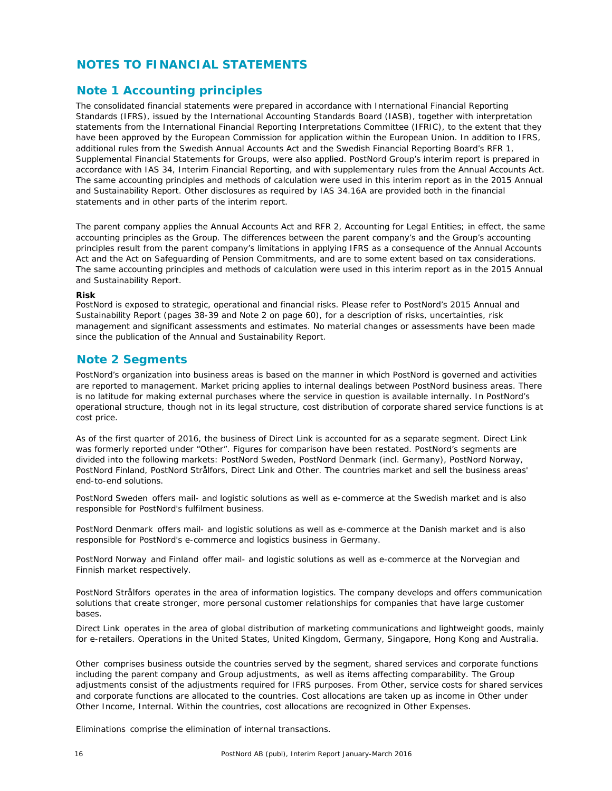### **NOTES TO FINANCIAL STATEMENTS**

### **Note 1 Accounting principles**

The consolidated financial statements were prepared in accordance with International Financial Reporting Standards (IFRS), issued by the International Accounting Standards Board (IASB), together with interpretation statements from the International Financial Reporting Interpretations Committee (IFRIC), to the extent that they have been approved by the European Commission for application within the European Union. In addition to IFRS, additional rules from the Swedish Annual Accounts Act and the Swedish Financial Reporting Board's RFR 1, Supplemental Financial Statements for Groups, were also applied. PostNord Group's interim report is prepared in accordance with IAS 34, Interim Financial Reporting, and with supplementary rules from the Annual Accounts Act. The same accounting principles and methods of calculation were used in this interim report as in the 2015 Annual and Sustainability Report. Other disclosures as required by IAS 34.16A are provided both in the financial statements and in other parts of the interim report.

The parent company applies the Annual Accounts Act and RFR 2, Accounting for Legal Entities; in effect, the same accounting principles as the Group. The differences between the parent company's and the Group's accounting principles result from the parent company's limitations in applying IFRS as a consequence of the Annual Accounts Act and the Act on Safeguarding of Pension Commitments, and are to some extent based on tax considerations. The same accounting principles and methods of calculation were used in this interim report as in the 2015 Annual and Sustainability Report.

#### **Risk**

PostNord is exposed to strategic, operational and financial risks. Please refer to PostNord's 2015 Annual and Sustainability Report (pages 38-39 and Note 2 on page 60), for a description of risks, uncertainties, risk management and significant assessments and estimates. No material changes or assessments have been made since the publication of the Annual and Sustainability Report.

### **Note 2 Segments**

PostNord's organization into business areas is based on the manner in which PostNord is governed and activities are reported to management. Market pricing applies to internal dealings between PostNord business areas. There is no latitude for making external purchases where the service in question is available internally. In PostNord's operational structure, though not in its legal structure, cost distribution of corporate shared service functions is at cost price.

As of the first quarter of 2016, the business of Direct Link is accounted for as a separate segment. Direct Link was formerly reported under "Other". Figures for comparison have been restated. PostNord's segments are divided into the following markets: PostNord Sweden, PostNord Denmark (incl. Germany), PostNord Norway, PostNord Finland, PostNord Strålfors, Direct Link and Other. The countries market and sell the business areas' end-to-end solutions.

*PostNord Sweden* offers mail- and logistic solutions as well as e-commerce at the Swedish market and is also responsible for PostNord's fulfilment business.

*PostNord Denmark* offers mail- and logistic solutions as well as e-commerce at the Danish market and is also responsible for PostNord's e-commerce and logistics business in Germany.

*PostNord Norway* and *Finland* offer mail- and logistic solutions as well as e-commerce at the Norvegian and Finnish market respectively.

*PostNord Strålfors* operates in the area of information logistics. The company develops and offers communication solutions that create stronger, more personal customer relationships for companies that have large customer bases.

*Direct Link* operates in the area of global distribution of marketing communications and lightweight goods, mainly for e-retailers. Operations in the United States, United Kingdom, Germany, Singapore, Hong Kong and Australia.

*Other* comprises business outside the countries served by the segment, shared services and corporate functions including the parent company and Group adjustments, as well as items affecting comparability. The Group adjustments consist of the adjustments required for IFRS purposes. From Other, service costs for shared services and corporate functions are allocated to the countries. Cost allocations are taken up as income in Other under Other Income, Internal. Within the countries, cost allocations are recognized in Other Expenses.

*Eliminations* comprise the elimination of internal transactions.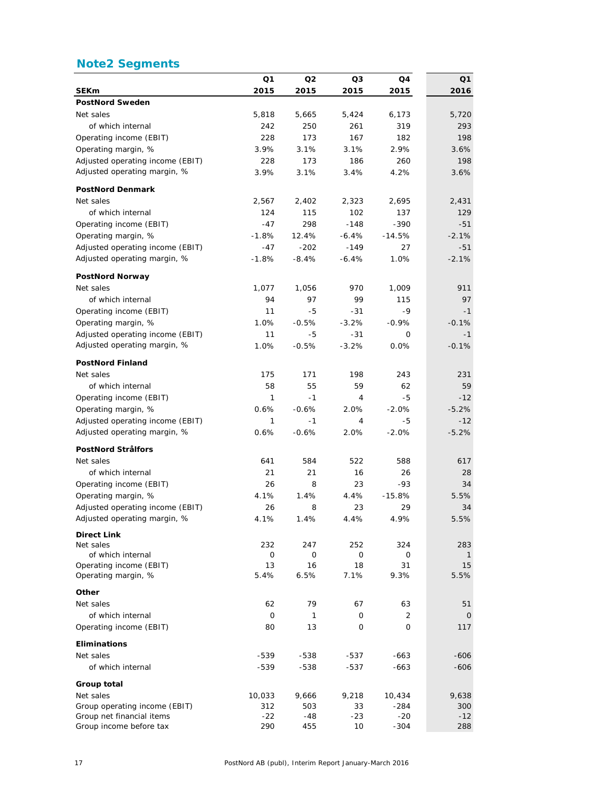# **Note2 Segments**

|                                                                  | Q1      | Q2           | Q3      | Q4            | Q1               |
|------------------------------------------------------------------|---------|--------------|---------|---------------|------------------|
| <b>SEKm</b>                                                      | 2015    | 2015         | 2015    | 2015          | 2016             |
| <b>PostNord Sweden</b>                                           |         |              |         |               |                  |
| Net sales                                                        | 5,818   | 5,665        | 5,424   | 6,173         | 5,720            |
| of which internal                                                | 242     | 250          | 261     | 319           | 293              |
| Operating income (EBIT)                                          | 228     | 173          | 167     | 182           | 198              |
| Operating margin, %                                              | 3.9%    | 3.1%         | 3.1%    | 2.9%          | 3.6%             |
| Adjusted operating income (EBIT)                                 | 228     | 173          | 186     | 260           | 198              |
| Adjusted operating margin, %                                     | 3.9%    | 3.1%         | 3.4%    | 4.2%          | 3.6%             |
| <b>PostNord Denmark</b>                                          |         |              |         |               |                  |
| Net sales                                                        | 2,567   | 2,402        | 2,323   | 2,695         | 2,431            |
| of which internal                                                | 124     | 115          | 102     | 137           | 129              |
| Operating income (EBIT)                                          | $-47$   | 298          | $-148$  | $-390$        | $-51$            |
| Operating margin, %                                              | $-1.8%$ | 12.4%        | $-6.4%$ | $-14.5%$      | $-2.1%$          |
| Adjusted operating income (EBIT)                                 | $-47$   | $-202$       | $-149$  | 27            | $-51$            |
| Adjusted operating margin, %                                     | $-1.8%$ | $-8.4%$      | $-6.4%$ | 1.0%          | $-2.1%$          |
| <b>PostNord Norway</b>                                           |         |              |         |               |                  |
| Net sales                                                        | 1,077   | 1,056        | 970     | 1,009         | 911              |
| of which internal                                                | 94      | 97           | 99      | 115           | 97               |
| Operating income (EBIT)                                          | 11      | -5           | -31     | -9            | $-1$             |
| Operating margin, %                                              | 1.0%    | $-0.5%$      | $-3.2%$ | $-0.9%$       | $-0.1%$          |
| Adjusted operating income (EBIT)                                 | 11      | -5           | $-31$   | 0             | $-1$             |
| Adjusted operating margin, %                                     | 1.0%    | $-0.5%$      | $-3.2%$ | $0.0\%$       | $-0.1%$          |
|                                                                  |         |              |         |               |                  |
| <b>PostNord Finland</b>                                          |         |              |         |               |                  |
| Net sales                                                        | 175     | 171          | 198     | 243           | 231              |
| of which internal                                                | 58<br>1 | 55<br>$-1$   | 59<br>4 | 62            | 59               |
| Operating income (EBIT)                                          | 0.6%    | $-0.6%$      | 2.0%    | -5<br>$-2.0%$ | -12<br>$-5.2%$   |
| Operating margin, %                                              | 1       | $-1$         | 4       | -5            |                  |
| Adjusted operating income (EBIT)<br>Adjusted operating margin, % | 0.6%    | $-0.6%$      | 2.0%    | $-2.0%$       | $-12$<br>$-5.2%$ |
|                                                                  |         |              |         |               |                  |
| PostNord Strålfors                                               |         |              |         |               |                  |
| Net sales                                                        | 641     | 584          | 522     | 588           | 617              |
| of which internal                                                | 21      | 21           | 16      | 26            | 28               |
| Operating income (EBIT)                                          | 26      | 8            | 23      | $-93$         | 34               |
| Operating margin, %                                              | 4.1%    | 1.4%         | 4.4%    | $-15.8%$      | 5.5%             |
| Adjusted operating income (EBIT)                                 | 26      | 8            | 23      | 29            | 34               |
| Adjusted operating margin, %                                     | 4.1%    | 1.4%         | 4.4%    | 4.9%          | 5.5%             |
| <b>Direct Link</b>                                               |         |              |         |               |                  |
| Net sales                                                        | 232     | 247          | 252     | 324           | 283              |
| of which internal                                                | 0<br>13 | 0<br>16      | 0<br>18 | 0             | 1                |
| Operating income (EBIT)<br>Operating margin, %                   | 5.4%    | 6.5%         | 7.1%    | 31<br>9.3%    | 15<br>5.5%       |
|                                                                  |         |              |         |               |                  |
| Other                                                            |         |              |         |               |                  |
| Net sales                                                        | 62      | 79           | 67      | 63            | 51               |
| of which internal                                                | 0       | $\mathbf{1}$ | 0       | 2             | 0                |
| Operating income (EBIT)                                          | 80      | 13           | 0       | 0             | 117              |
| <b>Eliminations</b>                                              |         |              |         |               |                  |
| Net sales                                                        | -539    | $-538$       | -537    | -663          | $-606$           |
| of which internal                                                | -539    | -538         | -537    | $-663$        | $-606$           |
| Group total                                                      |         |              |         |               |                  |
| Net sales                                                        | 10,033  | 9,666        | 9,218   | 10,434        | 9,638            |
| Group operating income (EBIT)                                    | 312     | 503          | 33      | $-284$        | 300              |
| Group net financial items                                        | $-22$   | -48          | $-23$   | $-20$         | $-12$            |
| Group income before tax                                          | 290     | 455          | 10      | $-304$        | 288              |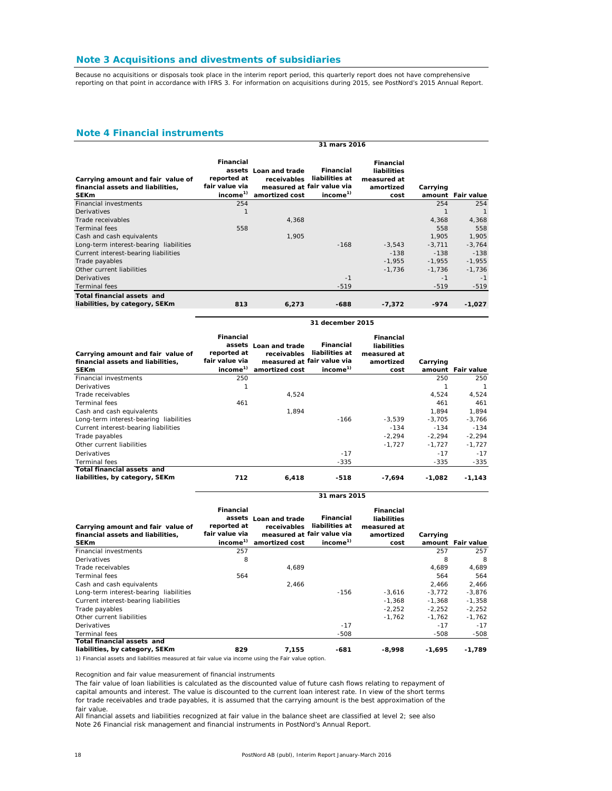#### **Note 3 Acquisitions and divestments of subsidiaries**

Because no acquisitions or disposals took place in the interim report period, this quarterly report does not have comprehensive reporting on that point in accordance with IFRS 3. For information on acquisitions during 2015, see PostNord's 2015 Annual Report.

**31 mars 2016**

**31 mars 2015**

### **Note 4 Financial instruments**

| Carrying amount and fair value of<br>financial assets and liabilities,<br><b>SEKm</b> | <b>Financial</b><br>assets<br>reported at<br>fair value via<br>income <sup>1)</sup> | Loan and trade<br>receivables<br>amortized cost | Financial<br>liabilities at<br>measured at fair value via<br>income <sup>1)</sup> | Financial<br>liabilities<br>measured at<br>amortized<br>cost | Carrying | amount Fair value |
|---------------------------------------------------------------------------------------|-------------------------------------------------------------------------------------|-------------------------------------------------|-----------------------------------------------------------------------------------|--------------------------------------------------------------|----------|-------------------|
| <b>Financial investments</b>                                                          | 254                                                                                 |                                                 |                                                                                   |                                                              | 254      | 254               |
| Derivatives                                                                           |                                                                                     |                                                 |                                                                                   |                                                              |          |                   |
| Trade receivables                                                                     |                                                                                     | 4.368                                           |                                                                                   |                                                              | 4.368    | 4,368             |
| <b>Terminal</b> fees                                                                  | 558                                                                                 |                                                 |                                                                                   |                                                              | 558      | 558               |
| Cash and cash equivalents                                                             |                                                                                     | 1.905                                           |                                                                                   |                                                              | 1.905    | 1.905             |
| Long-term interest-bearing liabilities                                                |                                                                                     |                                                 | $-168$                                                                            | $-3.543$                                                     | $-3.711$ | $-3.764$          |
| Current interest-bearing liabilities                                                  |                                                                                     |                                                 |                                                                                   | $-138$                                                       | $-138$   | $-138$            |
| Trade payables                                                                        |                                                                                     |                                                 |                                                                                   | $-1.955$                                                     | $-1.955$ | $-1,955$          |
| Other current liabilities                                                             |                                                                                     |                                                 |                                                                                   | $-1.736$                                                     | $-1.736$ | $-1,736$          |
| Derivatives                                                                           |                                                                                     |                                                 | $-1$                                                                              |                                                              | $-1$     | $-1$              |
| Terminal fees                                                                         |                                                                                     |                                                 | $-519$                                                                            |                                                              | $-519$   | $-519$            |
| <b>Total financial assets and</b>                                                     |                                                                                     |                                                 |                                                                                   |                                                              |          |                   |
| liabilities, by category, SEKm                                                        | 813                                                                                 | 6.273                                           | -688                                                                              | $-7.372$                                                     | $-974$   | $-1.027$          |

|                                                                                       | 31 december 2015                                                            |                                                 |                                                                                   |                                                                     |          |                   |
|---------------------------------------------------------------------------------------|-----------------------------------------------------------------------------|-------------------------------------------------|-----------------------------------------------------------------------------------|---------------------------------------------------------------------|----------|-------------------|
| Carrying amount and fair value of<br>financial assets and liabilities,<br><b>SEKm</b> | Financial<br>assets<br>reported at<br>fair value via<br>income <sup>1</sup> | Loan and trade<br>receivables<br>amortized cost | Financial<br>liabilities at<br>measured at fair value via<br>income <sup>1)</sup> | Financial<br><b>liabilities</b><br>measured at<br>amortized<br>cost | Carrying | amount Fair value |
| <b>Financial investments</b>                                                          | 250                                                                         |                                                 |                                                                                   |                                                                     | 250      | 250               |
| Derivatives                                                                           |                                                                             |                                                 |                                                                                   |                                                                     |          |                   |
| Trade receivables                                                                     |                                                                             | 4,524                                           |                                                                                   |                                                                     | 4.524    | 4,524             |
| Terminal fees                                                                         | 461                                                                         |                                                 |                                                                                   |                                                                     | 461      | 461               |
| Cash and cash equivalents                                                             |                                                                             | 1.894                                           |                                                                                   |                                                                     | 1.894    | 1.894             |
| Long-term interest-bearing liabilities                                                |                                                                             |                                                 | $-166$                                                                            | $-3.539$                                                            | $-3.705$ | $-3.766$          |
| Current interest-bearing liabilities                                                  |                                                                             |                                                 |                                                                                   | $-134$                                                              | $-134$   | $-134$            |
| Trade payables                                                                        |                                                                             |                                                 |                                                                                   | $-2.294$                                                            | $-2.294$ | $-2.294$          |
| Other current liabilities                                                             |                                                                             |                                                 |                                                                                   | $-1.727$                                                            | $-1,727$ | $-1,727$          |
| Derivatives                                                                           |                                                                             |                                                 | $-17$                                                                             |                                                                     | $-17$    | $-17$             |
| Terminal fees                                                                         |                                                                             |                                                 | $-335$                                                                            |                                                                     | $-335$   | $-335$            |
| <b>Total financial assets and</b>                                                     |                                                                             |                                                 |                                                                                   |                                                                     |          |                   |
| liabilities, by category, SEKm                                                        | 712                                                                         | 6,418                                           | $-518$                                                                            | -7,694                                                              | $-1,082$ | $-1,143$          |

| Carrying amount and fair value of<br>financial assets and liabilities,<br><b>SEKm</b> | <b>Financial</b><br>assets<br>reported at<br>fair value via<br>income <sup>1)</sup> | Loan and trade<br>receivables<br>amortized cost | <b>Financial</b><br>liabilities at<br>measured at fair value via<br>income <sup>1)</sup> | Financial<br>liabilities<br>measured at<br>amortized<br>cost | Carrying | amount Fair value |
|---------------------------------------------------------------------------------------|-------------------------------------------------------------------------------------|-------------------------------------------------|------------------------------------------------------------------------------------------|--------------------------------------------------------------|----------|-------------------|
| Financial investments                                                                 | 257                                                                                 |                                                 |                                                                                          |                                                              | 257      | 257               |
| Derivatives                                                                           | 8                                                                                   |                                                 |                                                                                          |                                                              | 8        | 8                 |
| Trade receivables                                                                     |                                                                                     | 4,689                                           |                                                                                          |                                                              | 4,689    | 4,689             |
| Terminal fees                                                                         | 564                                                                                 |                                                 |                                                                                          |                                                              | 564      | 564               |
| Cash and cash equivalents                                                             |                                                                                     | 2,466                                           |                                                                                          |                                                              | 2,466    | 2,466             |
| Long-term interest-bearing liabilities                                                |                                                                                     |                                                 | $-156$                                                                                   | $-3,616$                                                     | $-3,772$ | $-3,876$          |
| Current interest-bearing liabilities                                                  |                                                                                     |                                                 |                                                                                          | $-1.368$                                                     | $-1.368$ | $-1,358$          |
| Trade payables                                                                        |                                                                                     |                                                 |                                                                                          | $-2.252$                                                     | $-2.252$ | $-2,252$          |
| Other current liabilities                                                             |                                                                                     |                                                 |                                                                                          | $-1.762$                                                     | $-1.762$ | $-1,762$          |
| Derivatives                                                                           |                                                                                     |                                                 | $-17$                                                                                    |                                                              | $-17$    | $-17$             |
| Terminal fees                                                                         |                                                                                     |                                                 | $-508$                                                                                   |                                                              | $-508$   | $-508$            |
| Total financial assets and                                                            |                                                                                     |                                                 |                                                                                          |                                                              |          |                   |
| liabilities, by category, SEKm                                                        | 829                                                                                 | 7,155                                           | -681                                                                                     | -8,998                                                       | $-1.695$ | $-1,789$          |

1) Financial assets and liabilities measured at fair value via income using the Fair value option.

*Recognition and fair value measurement of financial instruments*

The fair value of loan liabilities is calculated as the discounted value of future cash flows relating to repayment of capital amounts and interest. The value is discounted to the current loan interest rate. In view of the short terms for trade receivables and trade payables, it is assumed that the carrying amount is the best approximation of the fair value.

All financial assets and liabilities recognized at fair value in the balance sheet are classified at level 2; see also Note 26 Financial risk management and financial instruments in PostNord's Annual Report.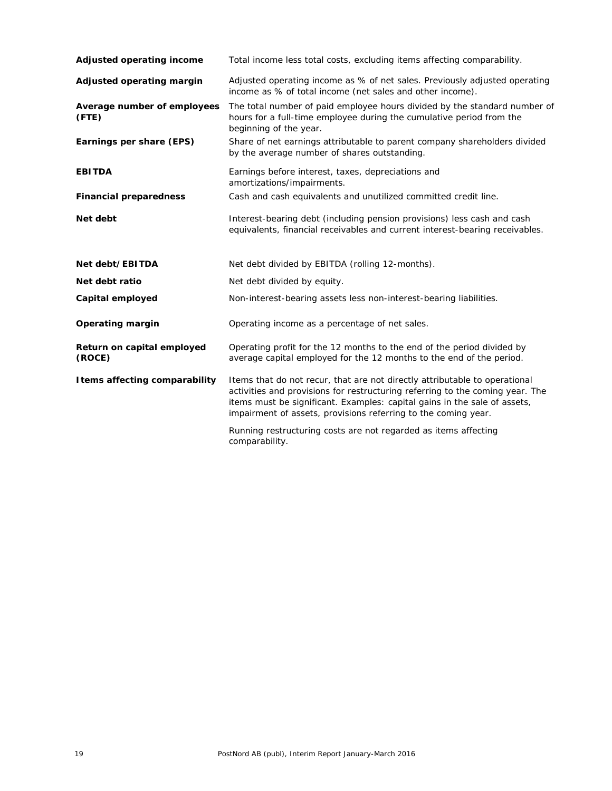| Adjusted operating income            | Total income less total costs, excluding items affecting comparability.                                                                                                                                                                                                                                    |
|--------------------------------------|------------------------------------------------------------------------------------------------------------------------------------------------------------------------------------------------------------------------------------------------------------------------------------------------------------|
| Adjusted operating margin            | Adjusted operating income as % of net sales. Previously adjusted operating<br>income as % of total income (net sales and other income).                                                                                                                                                                    |
| Average number of employees<br>(FTE) | The total number of paid employee hours divided by the standard number of<br>hours for a full-time employee during the cumulative period from the<br>beginning of the year.                                                                                                                                |
| Earnings per share (EPS)             | Share of net earnings attributable to parent company shareholders divided<br>by the average number of shares outstanding.                                                                                                                                                                                  |
| <b>EBITDA</b>                        | Earnings before interest, taxes, depreciations and<br>amortizations/impairments.                                                                                                                                                                                                                           |
| <b>Financial preparedness</b>        | Cash and cash equivalents and unutilized committed credit line.                                                                                                                                                                                                                                            |
| Net debt                             | Interest-bearing debt (including pension provisions) less cash and cash<br>equivalents, financial receivables and current interest-bearing receivables.                                                                                                                                                    |
| Net debt/EBITDA                      | Net debt divided by EBITDA (rolling 12-months).                                                                                                                                                                                                                                                            |
| Net debt ratio                       | Net debt divided by equity.                                                                                                                                                                                                                                                                                |
| Capital employed                     | Non-interest-bearing assets less non-interest-bearing liabilities.                                                                                                                                                                                                                                         |
| Operating margin                     | Operating income as a percentage of net sales.                                                                                                                                                                                                                                                             |
| Return on capital employed<br>(ROCE) | Operating profit for the 12 months to the end of the period divided by<br>average capital employed for the 12 months to the end of the period.                                                                                                                                                             |
| I tems affecting comparability       | Items that do not recur, that are not directly attributable to operational<br>activities and provisions for restructuring referring to the coming year. The<br>items must be significant. Examples: capital gains in the sale of assets,<br>impairment of assets, provisions referring to the coming year. |
|                                      | Running restructuring costs are not regarded as items affecting<br>comparability.                                                                                                                                                                                                                          |